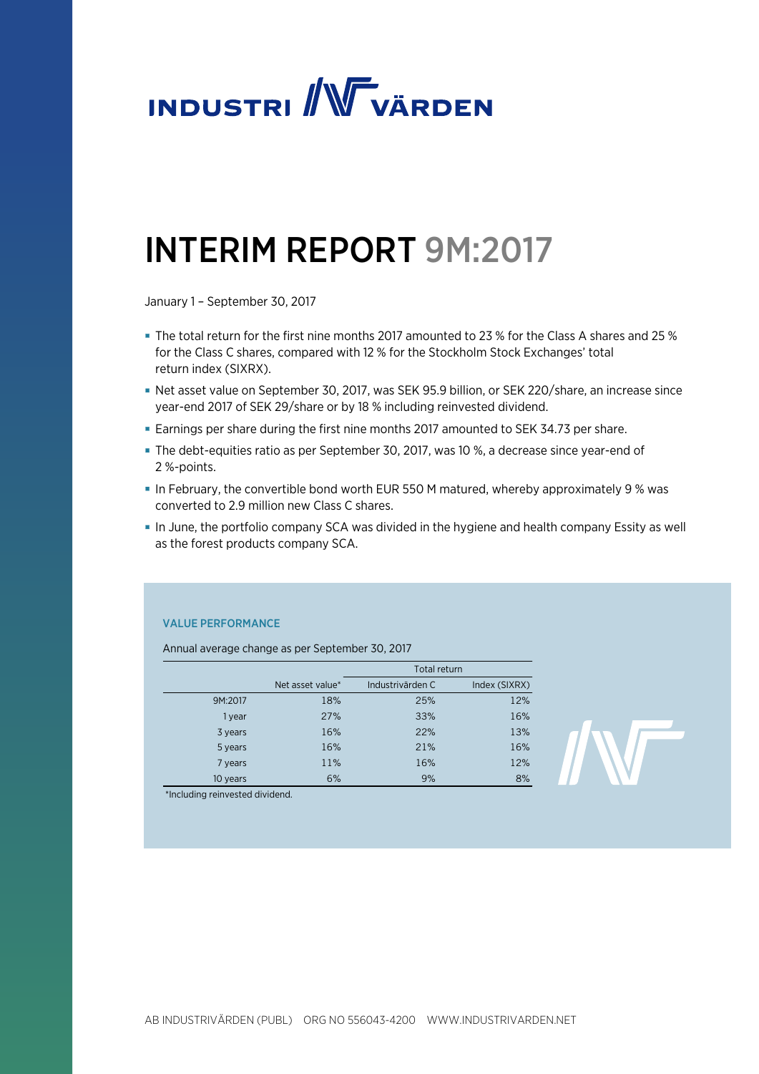

# INTERIM REPORT 9M:2017

January 1 – September 30, 2017

- The total return for the first nine months 2017 amounted to 23 % for the Class A shares and 25 % for the Class C shares, compared with 12 % for the Stockholm Stock Exchanges' total return index (SIXRX).
- Net asset value on September 30, 2017, was SEK 95.9 billion, or SEK 220/share, an increase since year-end 2017 of SEK 29/share or by 18 % including reinvested dividend.
- Earnings per share during the first nine months 2017 amounted to SEK 34.73 per share.
- The debt-equities ratio as per September 30, 2017, was 10 %, a decrease since year-end of 2 %-points.
- In February, the convertible bond worth EUR 550 M matured, whereby approximately 9 % was converted to 2.9 million new Class C shares.
- In June, the portfolio company SCA was divided in the hygiene and health company Essity as well as the forest products company SCA.

# VALUE PERFORMANCE

Annual average change as per September 30, 2017

|          |                  | Total return     |               |
|----------|------------------|------------------|---------------|
|          | Net asset value* | Industrivärden C | Index (SIXRX) |
| 9M:2017  | 18%              | 25%              | 12%           |
| 1 year   | 27%              | 33%              | 16%           |
| 3 years  | 16%              | 22%              | 13%           |
| 5 years  | 16%              | 21%              | 16%           |
| 7 years  | 11%              | 16%              | 12%           |
| 10 years | 6%               | 9%               | 8%            |

\*Including reinvested dividend.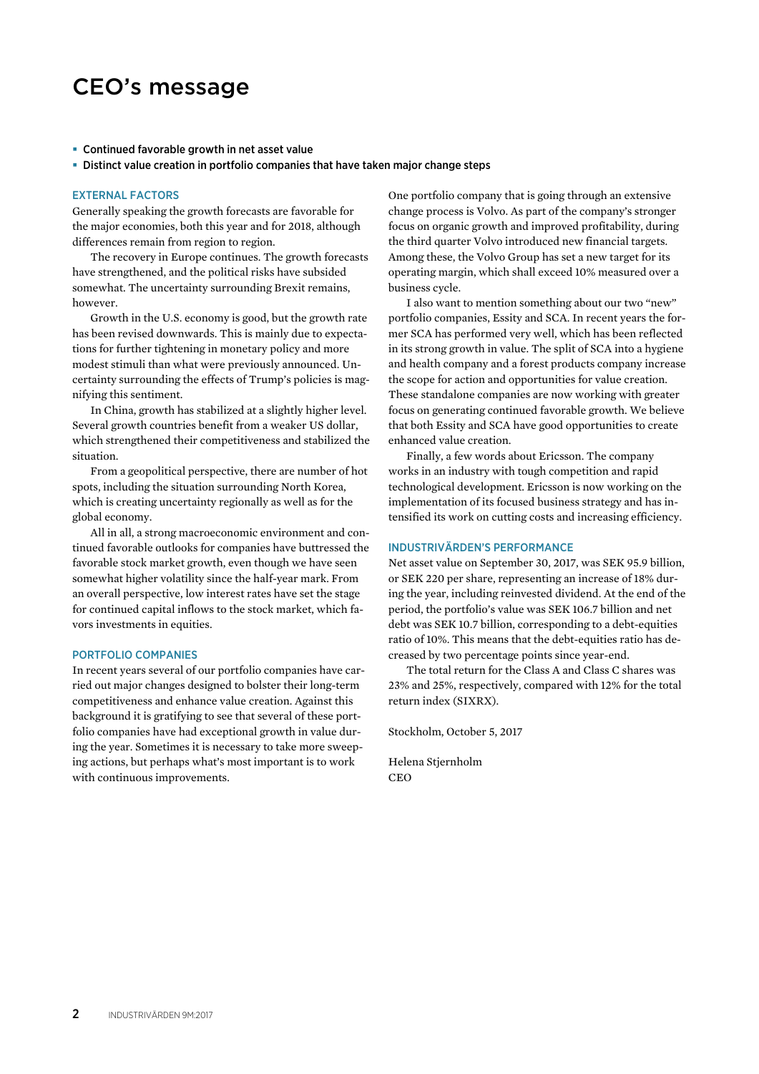# CEO's message

#### **Continued favorable growth in net asset value**

Distinct value creation in portfolio companies that have taken major change steps

#### EXTERNAL FACTORS

Generally speaking the growth forecasts are favorable for the major economies, both this year and for 2018, although differences remain from region to region.

The recovery in Europe continues. The growth forecasts have strengthened, and the political risks have subsided somewhat. The uncertainty surrounding Brexit remains, however.

Growth in the U.S. economy is good, but the growth rate has been revised downwards. This is mainly due to expectations for further tightening in monetary policy and more modest stimuli than what were previously announced. Uncertainty surrounding the effects of Trump's policies is magnifying this sentiment.

In China, growth has stabilized at a slightly higher level. Several growth countries benefit from a weaker US dollar, which strengthened their competitiveness and stabilized the situation.

From a geopolitical perspective, there are number of hot spots, including the situation surrounding North Korea, which is creating uncertainty regionally as well as for the global economy.

All in all, a strong macroeconomic environment and continued favorable outlooks for companies have buttressed the favorable stock market growth, even though we have seen somewhat higher volatility since the half-year mark. From an overall perspective, low interest rates have set the stage for continued capital inflows to the stock market, which favors investments in equities.

#### PORTFOLIO COMPANIES

In recent years several of our portfolio companies have carried out major changes designed to bolster their long-term competitiveness and enhance value creation. Against this background it is gratifying to see that several of these portfolio companies have had exceptional growth in value during the year. Sometimes it is necessary to take more sweeping actions, but perhaps what's most important is to work with continuous improvements.

One portfolio company that is going through an extensive change process is Volvo. As part of the company's stronger focus on organic growth and improved profitability, during the third quarter Volvo introduced new financial targets. Among these, the Volvo Group has set a new target for its operating margin, which shall exceed 10% measured over a business cycle.

I also want to mention something about our two "new" portfolio companies, Essity and SCA. In recent years the former SCA has performed very well, which has been reflected in its strong growth in value. The split of SCA into a hygiene and health company and a forest products company increase the scope for action and opportunities for value creation. These standalone companies are now working with greater focus on generating continued favorable growth. We believe that both Essity and SCA have good opportunities to create enhanced value creation.

Finally, a few words about Ericsson. The company works in an industry with tough competition and rapid technological development. Ericsson is now working on the implementation of its focused business strategy and has intensified its work on cutting costs and increasing efficiency.

#### INDUSTRIVÄRDEN'S PERFORMANCE

Net asset value on September 30, 2017, was SEK 95.9 billion, or SEK 220 per share, representing an increase of 18% during the year, including reinvested dividend. At the end of the period, the portfolio's value was SEK 106.7 billion and net debt was SEK 10.7 billion, corresponding to a debt-equities ratio of 10%. This means that the debt-equities ratio has decreased by two percentage points since year-end.

The total return for the Class A and Class C shares was 23% and 25%, respectively, compared with 12% for the total return index (SIXRX).

Stockholm, October 5, 2017

Helena Stjernholm **CEO**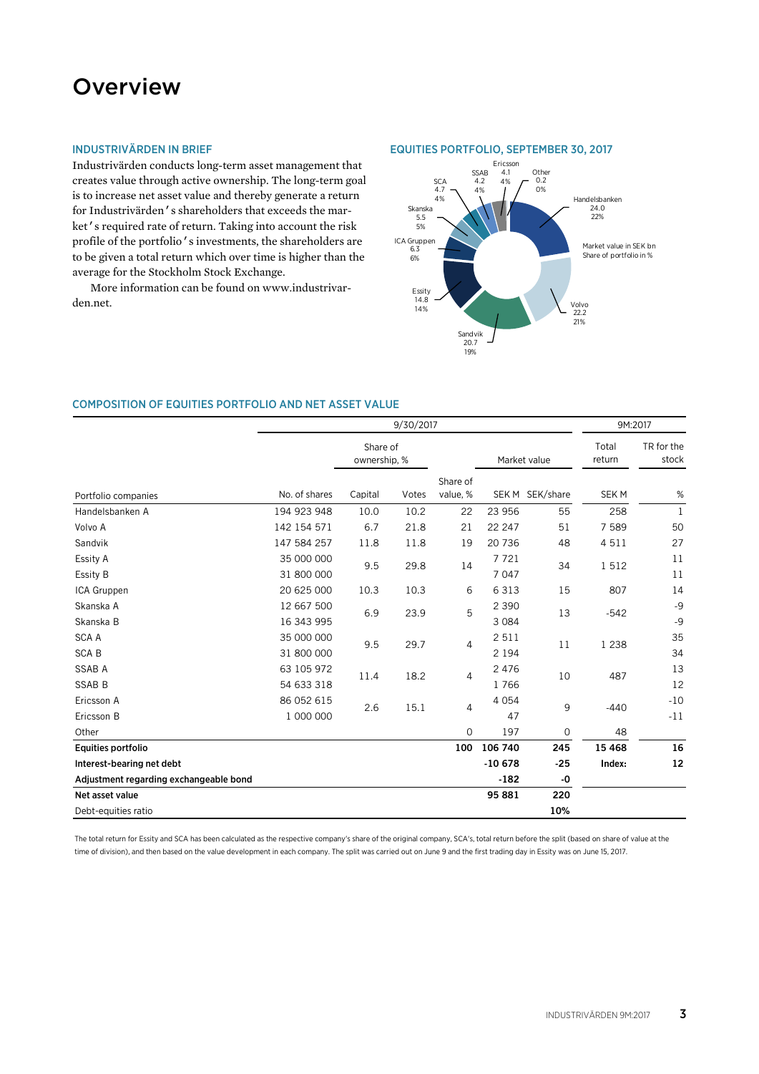# **Overview**

# INDUSTRIVÄRDEN IN BRIEF

Industrivärden conducts long-term asset management that creates value through active ownership. The long-term goal is to increase net asset value and thereby generate a return for Industrivärden's shareholders that exceeds the market's required rate of return. Taking into account the risk profile of the portfolio's investments, the shareholders are to be given a total return which over time is higher than the average for the Stockholm Stock Exchange.

More information can be found on www.industrivarden.net.

### EQUITIES PORTFOLIO, SEPTEMBER 30, 2017



### COMPOSITION OF EQUITIES PORTFOLIO AND NET ASSET VALUE

|                                        | 9/30/2017                |                          |       |                      |                    |                 | 9M:2017         |                     |
|----------------------------------------|--------------------------|--------------------------|-------|----------------------|--------------------|-----------------|-----------------|---------------------|
|                                        |                          | Share of<br>ownership, % |       |                      | Market value       |                 | Total<br>return | TR for the<br>stock |
| Portfolio companies                    | No. of shares            | Capital                  | Votes | Share of<br>value, % |                    | SEK M SEK/share | <b>SEKM</b>     | %                   |
| Handelsbanken A                        | 194 923 948              | 10.0                     | 10.2  | 22                   | 23 956             | 55              | 258             | 1                   |
| Volvo A                                | 142 154 571              | 6.7                      | 21.8  | 21                   | 22 247             | 51              | 7 5 8 9         | 50                  |
| Sandvik                                | 147 584 257              | 11.8                     | 11.8  | 19                   | 20 736             | 48              | 4511            | 27                  |
| Essity A<br>Essity B                   | 35 000 000<br>31 800 000 | 9.5                      | 29.8  | 14                   | 7721<br>7 0 4 7    | 34              | 1512            | 11<br>11            |
| ICA Gruppen                            | 20 625 000               | 10.3                     | 10.3  | 6                    | 6 3 1 3            | 15              | 807             | 14                  |
| Skanska A<br>Skanska B                 | 12 667 500<br>16 343 995 | 6.9                      | 23.9  | 5                    | 2 3 9 0<br>3 0 8 4 | 13              | $-542$          | $-9$<br>$-9$        |
| <b>SCA A</b><br><b>SCAB</b>            | 35 000 000<br>31 800 000 | 9.5                      | 29.7  | 4                    | 2 5 1 1<br>2 1 9 4 | 11              | 1 2 3 8         | 35<br>34            |
| SSAB A<br><b>SSAB B</b>                | 63 105 972<br>54 633 318 | 11.4                     | 18.2  | $\overline{4}$       | 2 4 7 6<br>1766    | 10              | 487             | 13<br>12            |
| Ericsson A<br>Ericsson B               | 86 052 615<br>1 000 000  | 2.6                      | 15.1  | $\overline{4}$       | 4 0 5 4<br>47      | 9               | $-440$          | $-10$<br>$-11$      |
| Other                                  |                          |                          |       | $\mathbf 0$          | 197                | 0               | 48              |                     |
| Equities portfolio                     |                          |                          |       | 100                  | 106 740            | 245             | 15 4 68         | 16                  |
| Interest-bearing net debt              |                          |                          |       |                      | $-10678$           | $-25$           | Index:          | 12                  |
| Adjustment regarding exchangeable bond |                          |                          |       |                      | $-182$             | $-0$            |                 |                     |
| Net asset value                        |                          |                          |       |                      | 95 881             | 220             |                 |                     |
| Debt-equities ratio                    |                          |                          |       |                      |                    | 10%             |                 |                     |

The total return for Essity and SCA has been calculated as the respective company's share of the original company, SCA's, total return before the split (based on share of value at the time of division), and then based on the value development in each company. The split was carried out on June 9 and the first trading day in Essity was on June 15, 2017.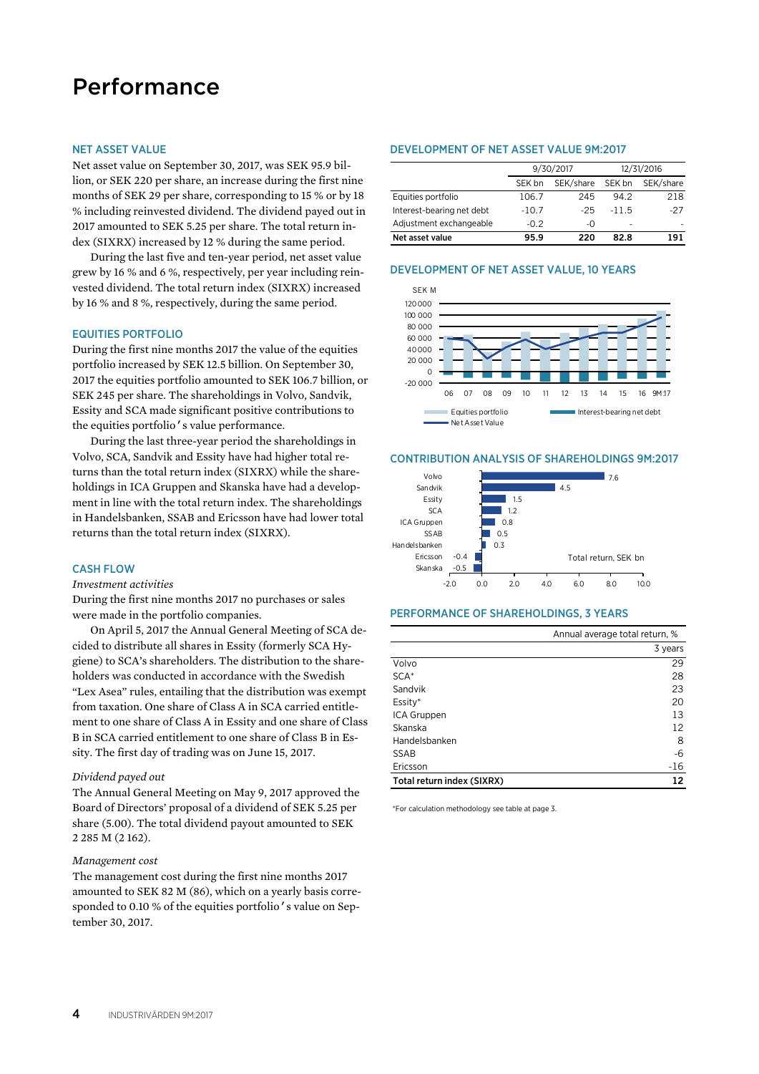# Performance

#### NET ASSET VALUE

Net asset value on September 30, 2017, was SEK 95.9 billion, or SEK 220 per share, an increase during the first nine months of SEK 29 per share, corresponding to 15 % or by 18 % including reinvested dividend. The dividend payed out in 2017 amounted to SEK 5.25 per share. The total return index (SIXRX) increased by 12 % during the same period.

During the last five and ten-year period, net asset value grew by 16 % and 6 %, respectively, per year including reinvested dividend. The total return index (SIXRX) increased by 16 % and 8 %, respectively, during the same period.

### EQUITIES PORTFOLIO

During the first nine months 2017 the value of the equities portfolio increased by SEK 12.5 billion. On September 30, 2017 the equities portfolio amounted to SEK 106.7 billion, or SEK 245 per share. The shareholdings in Volvo, Sandvik, Essity and SCA made significant positive contributions to the equities portfolio's value performance.

During the last three-year period the shareholdings in Volvo, SCA, Sandvik and Essity have had higher total returns than the total return index (SIXRX) while the shareholdings in ICA Gruppen and Skanska have had a development in line with the total return index. The shareholdings in Handelsbanken, SSAB and Ericsson have had lower total returns than the total return index (SIXRX).

#### CASH FLOW

*Investment activities* 

During the first nine months 2017 no purchases or sales were made in the portfolio companies.

On April 5, 2017 the Annual General Meeting of SCA decided to distribute all shares in Essity (formerly SCA Hygiene) to SCA's shareholders. The distribution to the shareholders was conducted in accordance with the Swedish "Lex Asea" rules, entailing that the distribution was exempt from taxation. One share of Class A in SCA carried entitlement to one share of Class A in Essity and one share of Class B in SCA carried entitlement to one share of Class B in Essity. The first day of trading was on June 15, 2017.

#### *Dividend payed out*

The Annual General Meeting on May 9, 2017 approved the Board of Directors' proposal of a dividend of SEK 5.25 per share (5.00). The total dividend payout amounted to SEK 2 285 M (2 162).

#### *Management cost*

The management cost during the first nine months 2017 amounted to SEK 82 M (86), which on a yearly basis corresponded to 0.10 % of the equities portfolio's value on September 30, 2017.

#### DEVELOPMENT OF NET ASSET VALUE 9M:2017

|                           |         | 9/30/2017 | 12/31/2016 |           |  |
|---------------------------|---------|-----------|------------|-----------|--|
|                           | SEK bn  | SEK/share | SEK bn     | SEK/share |  |
| Equities portfolio        | 106.7   | 245       | 94.2       | 218       |  |
| Interest-bearing net debt | $-10.7$ | $-25$     | $-11.5$    | $-27$     |  |
| Adjustment exchangeable   | $-0.2$  | -0        | ٠          |           |  |
| Net asset value           | 95.9    | 220       | 82 R       | 191       |  |



#### CONTRIBUTION ANALYSIS OF SHAREHOLDINGS 9M:2017



# PERFORMANCE OF SHAREHOLDINGS, 3 YEARS

|                            | Annual average total return, % |
|----------------------------|--------------------------------|
|                            | 3 years                        |
| Volvo                      | 29                             |
| $SCA*$                     | 28                             |
| Sandvik                    | 23                             |
| Essity*                    | 20                             |
| ICA Gruppen                | 13                             |
| Skanska                    | 12                             |
| Handelsbanken              | 8                              |
| <b>SSAB</b>                | -6                             |
| Ericsson                   | $-16$                          |
| Total return index (SIXRX) | 12                             |

\*For calculation methodology see table at page 3.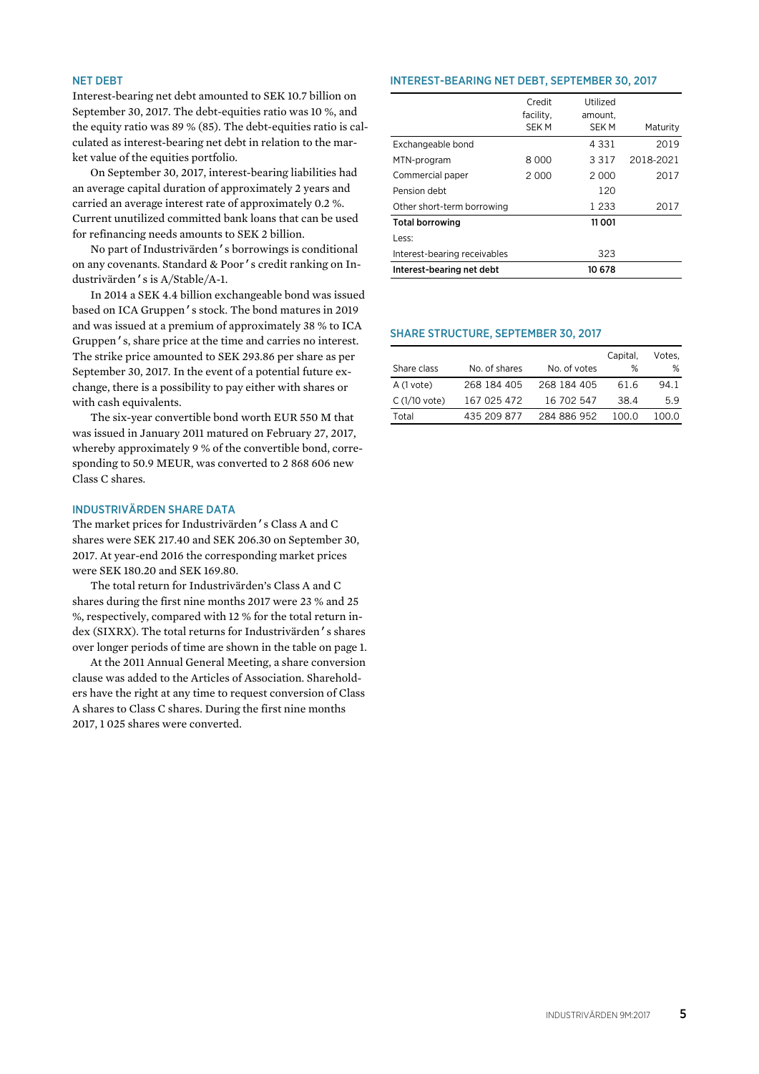# NET DEBT

Interest-bearing net debt amounted to SEK 10.7 billion on September 30, 2017. The debt-equities ratio was 10 %, and the equity ratio was 89 % (85). The debt-equities ratio is calculated as interest-bearing net debt in relation to the market value of the equities portfolio.

On September 30, 2017, interest-bearing liabilities had an average capital duration of approximately 2 years and carried an average interest rate of approximately 0.2 %. Current unutilized committed bank loans that can be used for refinancing needs amounts to SEK 2 billion.

No part of Industrivärden's borrowings is conditional on any covenants. Standard & Poor's credit ranking on Industrivärden's is A/Stable/A-1.

In 2014 a SEK 4.4 billion exchangeable bond was issued based on ICA Gruppen's stock. The bond matures in 2019 and was issued at a premium of approximately 38 % to ICA Gruppen's, share price at the time and carries no interest. The strike price amounted to SEK 293.86 per share as per September 30, 2017. In the event of a potential future exchange, there is a possibility to pay either with shares or with cash equivalents.

The six-year convertible bond worth EUR 550 M that was issued in January 2011 matured on February 27, 2017, whereby approximately 9 % of the convertible bond, corresponding to 50.9 MEUR, was converted to 2 868 606 new Class C shares.

# INDUSTRIVÄRDEN SHARE DATA

The market prices for Industrivärden's Class A and C shares were SEK 217.40 and SEK 206.30 on September 30, 2017. At year-end 2016 the corresponding market prices were SEK 180.20 and SEK 169.80.

The total return for Industrivärden's Class A and C shares during the first nine months 2017 were 23 % and 25 %, respectively, compared with 12 % for the total return index (SIXRX). The total returns for Industrivärden's shares over longer periods of time are shown in the table on page 1.

At the 2011 Annual General Meeting, a share conversion clause was added to the Articles of Association. Shareholders have the right at any time to request conversion of Class A shares to Class C shares. During the first nine months 2017, 1 025 shares were converted.

#### INTEREST-BEARING NET DEBT, SEPTEMBER 30, 2017

|                              | Credit<br>facility, | Utilized<br>amount, |           |
|------------------------------|---------------------|---------------------|-----------|
|                              | SEK M               | <b>SEKM</b>         | Maturity  |
| Exchangeable bond            |                     | 4 3 3 1             | 2019      |
| MTN-program                  | 8 000               | 3 3 1 7             | 2018-2021 |
| Commercial paper             | 2000                | 2 000               | 2017      |
| Pension debt                 |                     | 120                 |           |
| Other short-term borrowing   |                     | 1 2 3 3             | 2017      |
| <b>Total borrowing</b>       |                     | 11 001              |           |
| Less:                        |                     |                     |           |
| Interest-bearing receivables |                     | 323                 |           |
| Interest-bearing net debt    |                     | 10 678              |           |

### SHARE STRUCTURE, SEPTEMBER 30, 2017

|                |               |              | Capital, | Votes. |
|----------------|---------------|--------------|----------|--------|
| Share class    | No. of shares | No. of votes | %        | ℅      |
| A (1 vote)     | 268 184 405   | 268 184 405  | 61.6     | 94.1   |
| $C(1/10$ vote) | 167 025 472   | 16 702 547   | 38.4     | 5.9    |
| Total          | 435 209 877   | 284 886 952  | 100 O    | 100 O  |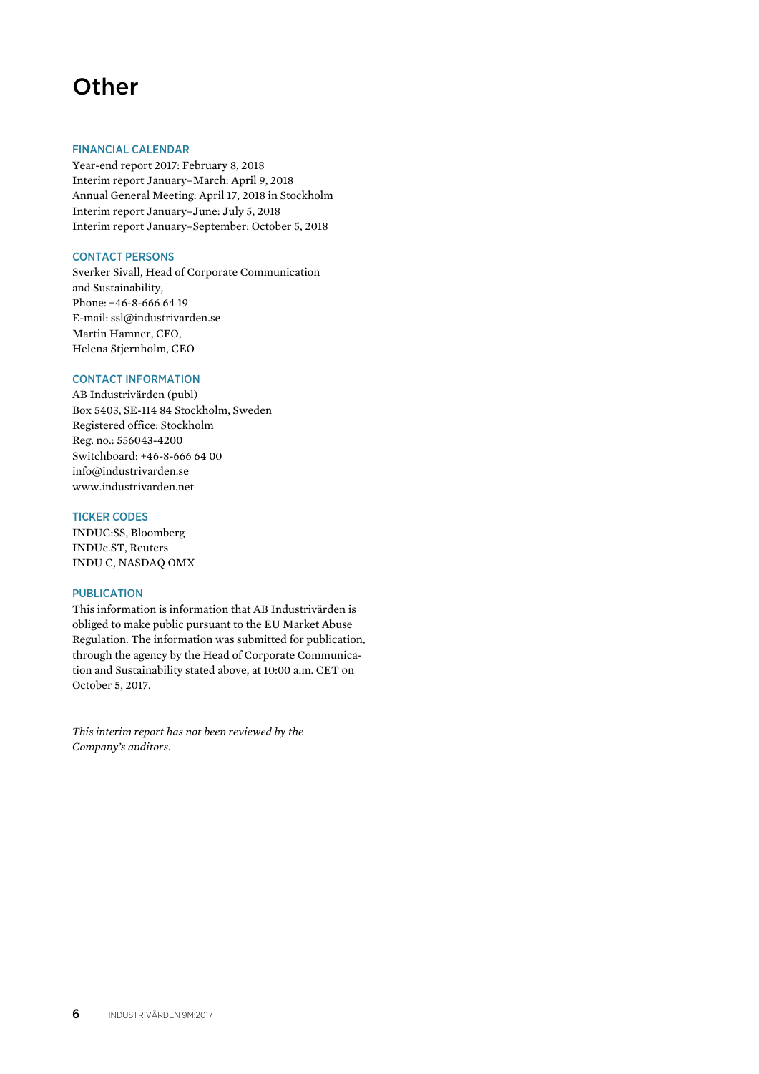# **Other**

# FINANCIAL CALENDAR

Year-end report 2017: February 8, 2018 Interim report January–March: April 9, 2018 Annual General Meeting: April 17, 2018 in Stockholm Interim report January–June: July 5, 2018 Interim report January–September: October 5, 2018

# CONTACT PERSONS

Sverker Sivall, Head of Corporate Communication and Sustainability, Phone: +46-8-666 64 19 E-mail: ssl@industrivarden.se Martin Hamner, CFO, Helena Stjernholm, CEO

# CONTACT INFORMATION

AB Industrivärden (publ) Box 5403, SE-114 84 Stockholm, Sweden Registered office: Stockholm Reg. no.: 556043-4200 Switchboard: +46-8-666 64 00 info@industrivarden.se www.industrivarden.net

# TICKER CODES

INDUC:SS, Bloomberg INDUc.ST, Reuters INDU C, NASDAQ OMX

### PUBLICATION

This information is information that AB Industrivärden is obliged to make public pursuant to the EU Market Abuse Regulation. The information was submitted for publication, through the agency by the Head of Corporate Communication and Sustainability stated above, at 10:00 a.m. CET on October 5, 2017.

*This interim report has not been reviewed by the Company's auditors.*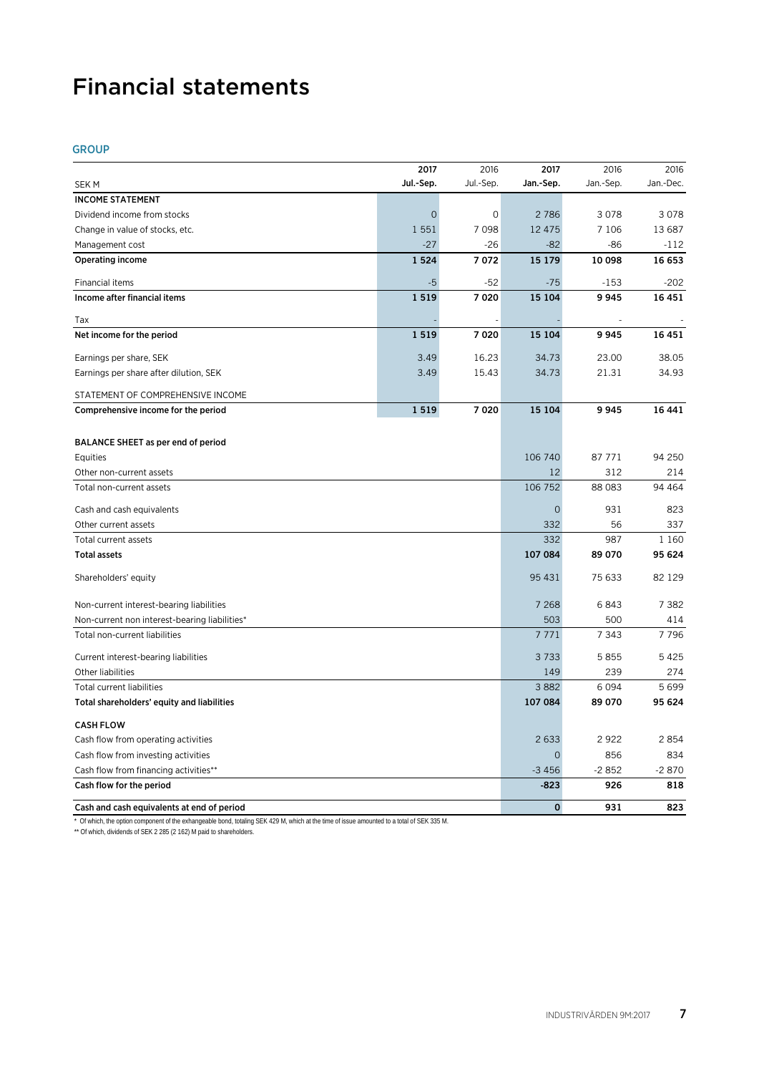# Financial statements

# GROUP

|                                                      | 2017      | 2016      | 2017           | 2016           | 2016           |
|------------------------------------------------------|-----------|-----------|----------------|----------------|----------------|
| SEK M                                                | Jul.-Sep. | Jul.-Sep. | Jan.-Sep.      | Jan.-Sep.      | Jan.-Dec.      |
| <b>INCOME STATEMENT</b>                              |           |           |                |                |                |
| Dividend income from stocks                          | $\Omega$  | 0         | 2786           | 3078           | 3078           |
| Change in value of stocks, etc.                      | 1 5 5 1   | 7098      | 12 475         | 7 1 0 6        | 13 687         |
| Management cost                                      | $-27$     | $-26$     | $-82$          | $-86$          | -112           |
| Operating income                                     | 1 5 2 4   | 7072      | 15 179         | 10 098         | 16 653         |
| Financial items                                      | -5        | $-52$     | $-75$          | $-153$         | $-202$         |
| Income after financial items                         | 1 5 1 9   | 7020      | 15 104         | 9945           | 16451          |
| Tax                                                  |           |           |                |                |                |
| Net income for the period                            | 1519      | 7020      | 15 104         | 9945           | 16451          |
| Earnings per share, SEK                              | 3.49      | 16.23     | 34.73          | 23.00          | 38.05          |
| Earnings per share after dilution, SEK               | 3.49      | 15.43     | 34.73          | 21.31          | 34.93          |
| STATEMENT OF COMPREHENSIVE INCOME                    |           |           |                |                |                |
| Comprehensive income for the period                  | 1 5 1 9   | 7020      | 15 104         | 9945           | 16 441         |
|                                                      |           |           |                |                |                |
| BALANCE SHEET as per end of period                   |           |           |                |                |                |
| Equities                                             |           |           | 106 740        | 87 771         | 94 250         |
| Other non-current assets<br>Total non-current assets |           |           | 12<br>106 752  | 312<br>88 0 83 | 214<br>94 4 64 |
|                                                      |           |           |                |                |                |
| Cash and cash equivalents                            |           |           | $\overline{O}$ | 931            | 823            |
| Other current assets                                 |           |           | 332            | 56             | 337            |
| Total current assets                                 |           |           | 332            | 987            | 1 1 6 0        |
| <b>Total assets</b>                                  |           |           | 107 084        | 89 070         | 95 624         |
| Shareholders' equity                                 |           |           | 95 431         | 75 633         | 82 129         |
| Non-current interest-bearing liabilities             |           |           | 7 2 6 8        | 6843           | 7 3 8 2        |
| Non-current non interest-bearing liabilities*        |           |           | 503            | 500            | 414            |
| Total non-current liabilities                        |           |           | 7771           | 7 3 4 3        | 7796           |
| Current interest-bearing liabilities                 |           |           | 3733           | 5855           | 5425           |
| Other liabilities                                    |           |           | 149            | 239            | 274            |
| <b>Total current liabilities</b>                     |           |           | 3882           | 6094           | 5699           |
| Total shareholders' equity and liabilities           |           |           | 107 084        | 89 070         | 95 624         |
| <b>CASH FLOW</b>                                     |           |           |                |                |                |
| Cash flow from operating activities                  |           |           | 2633           | 2922           | 2854           |
| Cash flow from investing activities                  |           |           | $\overline{O}$ | 856            | 834            |
| Cash flow from financing activities**                |           |           | $-3456$        | $-2852$        | $-2870$        |
| Cash flow for the period                             |           |           | $-823$         | 926            | 818            |
| Cash and cash equivalents at end of period           |           |           | $\mathbf 0$    | 931            | 823            |

\* Of which, the option component of the exhangeable bond, totaling SEK 429 M, which at the time of issue amounted to a total of SEK 335 M.

\*\* Of which, dividends of SEK 2 285 (2 162) M paid to shareholders.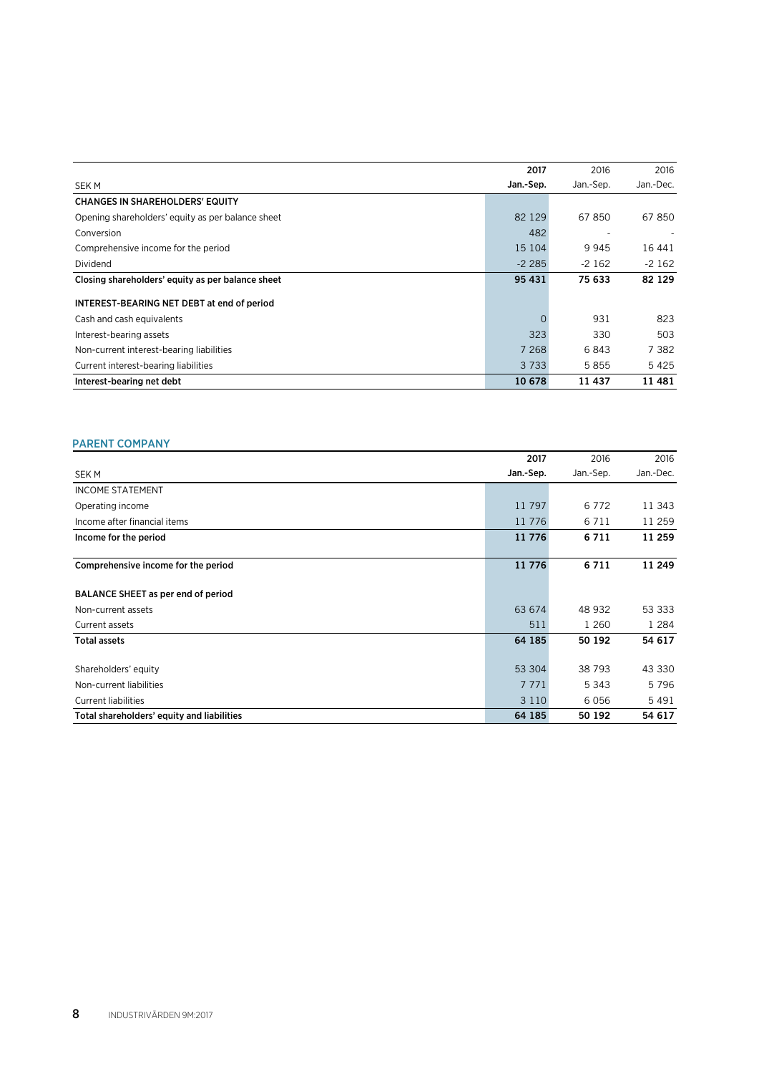|                                                   | 2017      | 2016       | 2016      |
|---------------------------------------------------|-----------|------------|-----------|
| SEK M                                             | Jan.-Sep. | Jan - Sep. | Jan.-Dec. |
| <b>CHANGES IN SHAREHOLDERS' EQUITY</b>            |           |            |           |
| Opening shareholders' equity as per balance sheet | 82 129    | 67850      | 67850     |
| Conversion                                        | 482       |            |           |
| Comprehensive income for the period               | 15 104    | 9945       | 16 441    |
| Dividend                                          | $-2285$   | $-2162$    | $-2162$   |
| Closing shareholders' equity as per balance sheet | 95 431    | 75 633     | 82 1 29   |
| INTEREST-BEARING NET DEBT at end of period        |           |            |           |
| Cash and cash equivalents                         | $\Omega$  | 931        | 823       |
| Interest-bearing assets                           | 323       | 330        | 503       |
| Non-current interest-bearing liabilities          | 7 2 6 8   | 6843       | 7 3 8 2   |
| Current interest-bearing liabilities              | 3 7 3 3   | 5855       | 5425      |
| Interest-bearing net debt                         | 10 678    | 11437      | 11481     |

# PARENT COMPANY

|                                            | 2017      | 2016     | 2016      |
|--------------------------------------------|-----------|----------|-----------|
| <b>SEK M</b>                               | Jan.-Sep. | Jan-Sep. | Jan.-Dec. |
| <b>INCOME STATEMENT</b>                    |           |          |           |
| Operating income                           | 11 797    | 6772     | 11 343    |
| Income after financial items               | 11 776    | 6 7 1 1  | 11 259    |
| Income for the period                      | 11 776    | 6711     | 11 259    |
| Comprehensive income for the period        | 11 776    | 6711     | 11 249    |
| BALANCE SHEET as per end of period         |           |          |           |
| Non-current assets                         | 63 674    | 48 932   | 53 333    |
| Current assets                             | 511       | 1 260    | 1 2 8 4   |
| <b>Total assets</b>                        | 64 185    | 50 192   | 54 617    |
| Shareholders' equity                       | 53 304    | 38 793   | 43 330    |
| Non-current liabilities                    | 7 771     | 5 3 4 3  | 5796      |
| <b>Current liabilities</b>                 | 3 1 1 0   | 6056     | 5491      |
| Total shareholders' equity and liabilities | 64 185    | 50 192   | 54 617    |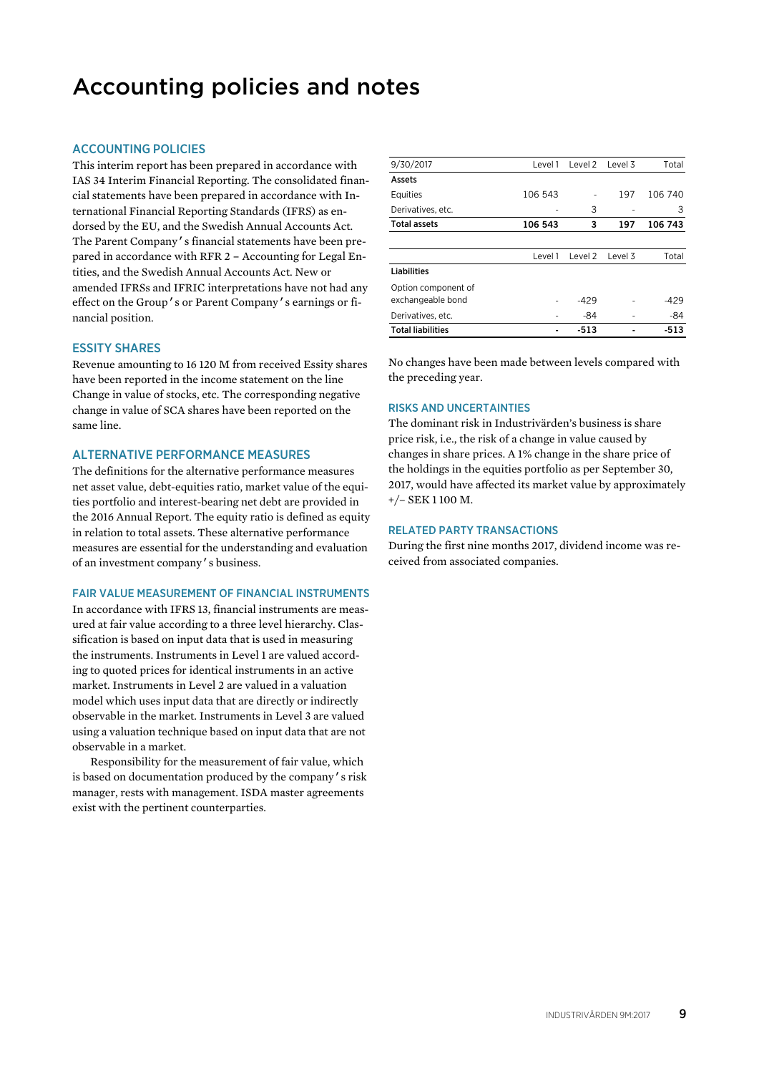# Accounting policies and notes

# ACCOUNTING POLICIES

This interim report has been prepared in accordance with IAS 34 Interim Financial Reporting. The consolidated financial statements have been prepared in accordance with International Financial Reporting Standards (IFRS) as endorsed by the EU, and the Swedish Annual Accounts Act. The Parent Company's financial statements have been prepared in accordance with RFR 2 – Accounting for Legal Entities, and the Swedish Annual Accounts Act. New or amended IFRSs and IFRIC interpretations have not had any effect on the Group's or Parent Company's earnings or financial position.

#### ESSITY SHARES

Revenue amounting to 16 120 M from received Essity shares have been reported in the income statement on the line Change in value of stocks, etc. The corresponding negative change in value of SCA shares have been reported on the same line.

### ALTERNATIVE PERFORMANCE MEASURES

The definitions for the alternative performance measures net asset value, debt-equities ratio, market value of the equities portfolio and interest-bearing net debt are provided in the 2016 Annual Report. The equity ratio is defined as equity in relation to total assets. These alternative performance measures are essential for the understanding and evaluation of an investment company's business.

### FAIR VALUE MEASUREMENT OF FINANCIAL INSTRUMENTS

In accordance with IFRS 13, financial instruments are measured at fair value according to a three level hierarchy. Classification is based on input data that is used in measuring the instruments. Instruments in Level 1 are valued according to quoted prices for identical instruments in an active market. Instruments in Level 2 are valued in a valuation model which uses input data that are directly or indirectly observable in the market. Instruments in Level 3 are valued using a valuation technique based on input data that are not observable in a market.

Responsibility for the measurement of fair value, which is based on documentation produced by the company's risk manager, rests with management. ISDA master agreements exist with the pertinent counterparties.

| 9/30/2017                | Level 1 | Level 2 | Level 3 | Total   |
|--------------------------|---------|---------|---------|---------|
| Assets                   |         |         |         |         |
| Equities                 | 106 543 |         | 197     | 106 740 |
| Derivatives, etc.        |         | 3       |         | 3       |
| <b>Total assets</b>      | 106 543 | 3       | 197     | 106 743 |
|                          |         |         |         |         |
|                          | Level 1 | Level 2 | Level 3 | Total   |
| <b>Liabilities</b>       |         |         |         |         |
| Option component of      |         |         |         |         |
| exchangeable bond        |         | $-429$  |         | $-429$  |
| Derivatives, etc.        |         | -84     |         | -84     |
| <b>Total liabilities</b> |         | -513    |         | -513    |

No changes have been made between levels compared with the preceding year.

#### RISKS AND UNCERTAINTIES

The dominant risk in Industrivärden's business is share price risk, i.e., the risk of a change in value caused by changes in share prices. A 1% change in the share price of the holdings in the equities portfolio as per September 30, 2017, would have affected its market value by approximately +/– SEK 1 100 M.

#### RELATED PARTY TRANSACTIONS

During the first nine months 2017, dividend income was received from associated companies.